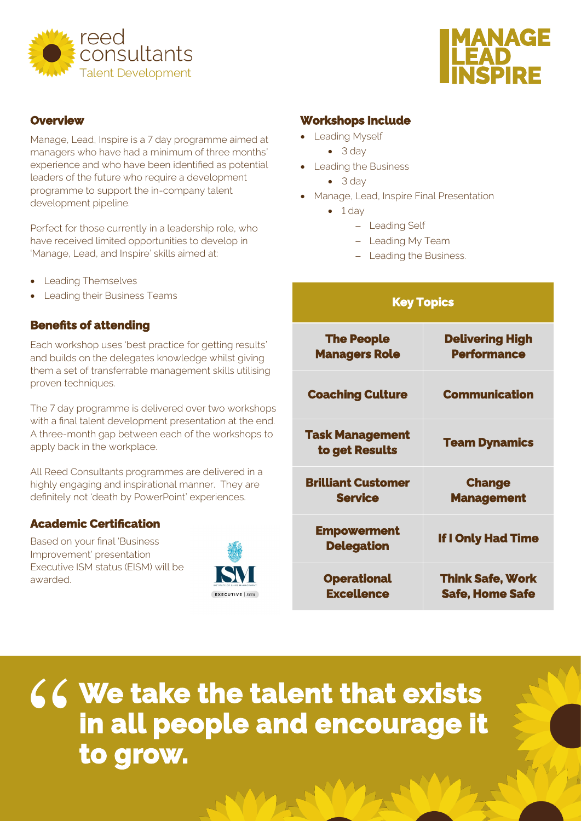



#### **Overview**

Manage, Lead, Inspire is a 7 day programme aimed at managers who have had a minimum of three months' experience and who have been identified as potential leaders of the future who require a development programme to support the in-company talent development pipeline.

Perfect for those currently in a leadership role, who have received limited opportunities to develop in 'Manage, Lead, and Inspire' skills aimed at:

- Leading Themselves
- **Leading their Business Teams**

### **Benefits of attending**

Each workshop uses 'best practice for getting results' and builds on the delegates knowledge whilst giving them a set of transferrable management skills utilising proven techniques.

The 7 day programme is delivered over two workshops with a final talent development presentation at the end. A three-month gap between each of the workshops to apply back in the workplace.

All Reed Consultants programmes are delivered in a highly engaging and inspirational manner. They are definitely not 'death by PowerPoint' experiences.

## **Academic Certification**

 Based on your final 'Business Improvement' presentation Executive ISM status (EISM) will be awarded.



#### **Workshops Include**

- Leading Myself
	- 3 day
- Leading the Business
	- 3 day
- Manage, Lead, Inspire Final Presentation
	- $\bullet$  1 day
		- − Leading Self
		- − Leading My Team
		- − Leading the Business.

| <b>Key Topics</b>                           |                                                   |
|---------------------------------------------|---------------------------------------------------|
| <b>The People</b><br><b>Managers Role</b>   | <b>Delivering High</b><br><b>Performance</b>      |
| <b>Coaching Culture</b>                     | <b>Communication</b>                              |
| <b>Task Management</b><br>to get Results    | <b>Team Dynamics</b>                              |
| <b>Brilliant Customer</b><br><b>Service</b> | <b>Change</b><br><b>Management</b>                |
| <b>Empowerment</b><br><b>Delegation</b>     | <b>If I Only Had Time</b>                         |
| <b>Operational</b><br><b>Excellence</b>     | <b>Think Safe, Work</b><br><b>Safe, Home Safe</b> |

**We take the talent that exists in all people and encourage it**  " **to grow.**